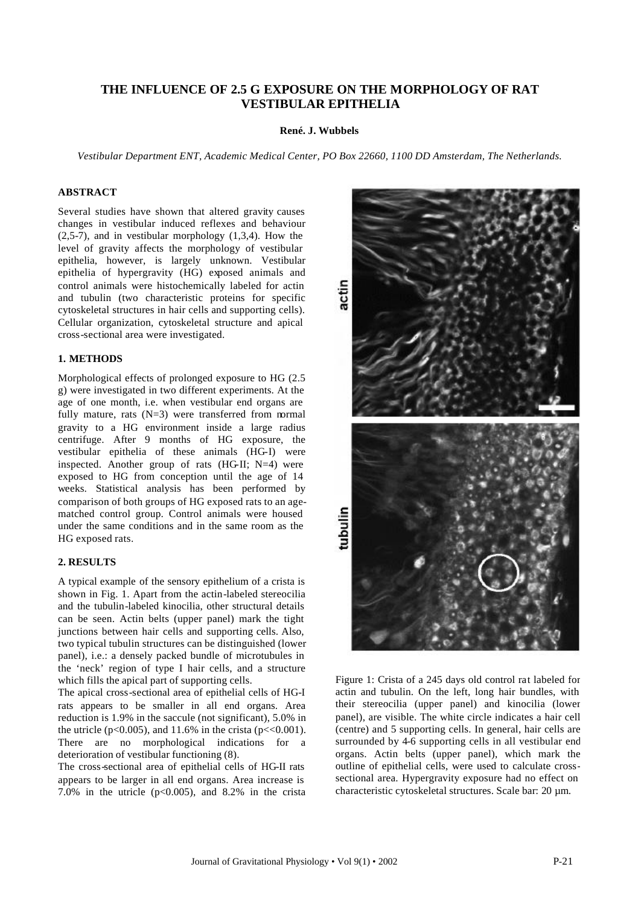# **THE INFLUENCE OF 2.5 G EXPOSURE ON THE MORPHOLOGY OF RAT VESTIBULAR EPITHELIA**

#### **René. J. Wubbels**

*Vestibular Department ENT, Academic Medical Center, PO Box 22660, 1100 DD Amsterdam, The Netherlands.*

### **ABSTRACT**

Several studies have shown that altered gravity causes changes in vestibular induced reflexes and behaviour (2,5-7), and in vestibular morphology (1,3,4). How the level of gravity affects the morphology of vestibular epithelia, however, is largely unknown. Vestibular epithelia of hypergravity (HG) exposed animals and control animals were histochemically labeled for actin and tubulin (two characteristic proteins for specific cytoskeletal structures in hair cells and supporting cells). Cellular organization, cytoskeletal structure and apical cross-sectional area were investigated.

## **1. METHODS**

Morphological effects of prolonged exposure to HG (2.5 g) were investigated in two different experiments. At the age of one month, i.e. when vestibular end organs are fully mature, rats  $(N=3)$  were transferred from normal gravity to a HG environment inside a large radius centrifuge. After 9 months of HG exposure, the vestibular epithelia of these animals (HG-I) were inspected. Another group of rats  $(HGII; N=4)$  were exposed to HG from conception until the age of 14 weeks. Statistical analysis has been performed by comparison of both groups of HG exposed rats to an agematched control group. Control animals were housed under the same conditions and in the same room as the HG exposed rats.

### **2. RESULTS**

A typical example of the sensory epithelium of a crista is shown in Fig. 1. Apart from the actin-labeled stereocilia and the tubulin-labeled kinocilia, other structural details can be seen. Actin belts (upper panel) mark the tight junctions between hair cells and supporting cells. Also, two typical tubulin structures can be distinguished (lower panel), i.e.: a densely packed bundle of microtubules in the 'neck' region of type I hair cells, and a structure which fills the apical part of supporting cells.

The apical cross-sectional area of epithelial cells of HG-I rats appears to be smaller in all end organs. Area reduction is 1.9% in the saccule (not significant), 5.0% in the utricle ( $p<0.005$ ), and 11.6% in the crista ( $p<0.001$ ). There are no morphological indications for a deterioration of vestibular functioning (8).

The cross-sectional area of epithelial cells of HG-II rats appears to be larger in all end organs. Area increase is 7.0% in the utricle  $(p<0.005)$ , and 8.2% in the crista



Figure 1: Crista of a 245 days old control rat labeled for actin and tubulin. On the left, long hair bundles, with their stereocilia (upper panel) and kinocilia (lower panel), are visible. The white circle indicates a hair cell (centre) and 5 supporting cells. In general, hair cells are surrounded by 4-6 supporting cells in all vestibular end organs. Actin belts (upper panel), which mark the outline of epithelial cells, were used to calculate crosssectional area. Hypergravity exposure had no effect on characteristic cytoskeletal structures. Scale bar: 20 µm.